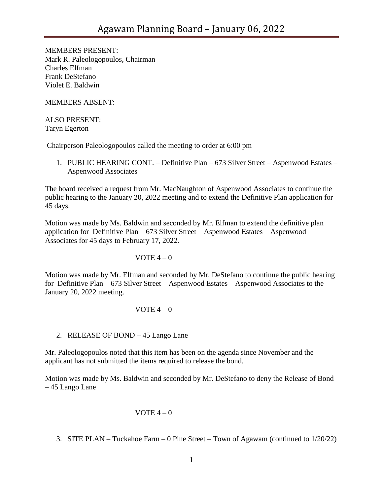MEMBERS PRESENT: Mark R. Paleologopoulos, Chairman Charles Elfman Frank DeStefano Violet E. Baldwin

MEMBERS ABSENT:

ALSO PRESENT: Taryn Egerton

Chairperson Paleologopoulos called the meeting to order at 6:00 pm

1. PUBLIC HEARING CONT. – Definitive Plan – 673 Silver Street – Aspenwood Estates – Aspenwood Associates

The board received a request from Mr. MacNaughton of Aspenwood Associates to continue the public hearing to the January 20, 2022 meeting and to extend the Definitive Plan application for 45 days.

Motion was made by Ms. Baldwin and seconded by Mr. Elfman to extend the definitive plan application for Definitive Plan – 673 Silver Street – Aspenwood Estates – Aspenwood Associates for 45 days to February 17, 2022.

### VOTE  $4-0$

Motion was made by Mr. Elfman and seconded by Mr. DeStefano to continue the public hearing for Definitive Plan – 673 Silver Street – Aspenwood Estates – Aspenwood Associates to the January 20, 2022 meeting.

# VOTE  $4-0$

# 2. RELEASE OF BOND – 45 Lango Lane

Mr. Paleologopoulos noted that this item has been on the agenda since November and the applicant has not submitted the items required to release the bond.

Motion was made by Ms. Baldwin and seconded by Mr. DeStefano to deny the Release of Bond – 45 Lango Lane

### VOTE  $4-0$

3. SITE PLAN – Tuckahoe Farm – 0 Pine Street – Town of Agawam (continued to 1/20/22)